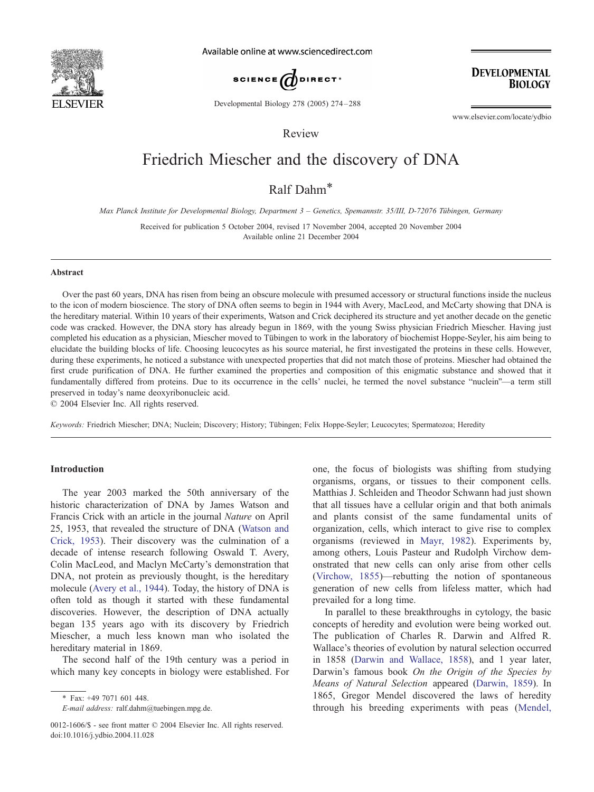

Available online at www.sciencedirect.com





Developmental Biology 278 (2005) 274 – 288

www.elsevier.com/locate/ydbio

Review

# Friedrich Miescher and the discovery of DNA

Ralf Dahm\*

Max Planck Institute for Developmental Biology, Department 3 – Genetics, Spemannstr. 35/III, D-72076 Tübingen, Germany

Received for publication 5 October 2004, revised 17 November 2004, accepted 20 November 2004 Available online 21 December 2004

#### Abstract

Over the past 60 years, DNA has risen from being an obscure molecule with presumed accessory or structural functions inside the nucleus to the icon of modern bioscience. The story of DNA often seems to begin in 1944 with Avery, MacLeod, and McCarty showing that DNA is the hereditary material. Within 10 years of their experiments, Watson and Crick deciphered its structure and yet another decade on the genetic code was cracked. However, the DNA story has already begun in 1869, with the young Swiss physician Friedrich Miescher. Having just completed his education as a physician, Miescher moved to Tübingen to work in the laboratory of biochemist Hoppe-Seyler, his aim being to elucidate the building blocks of life. Choosing leucocytes as his source material, he first investigated the proteins in these cells. However, during these experiments, he noticed a substance with unexpected properties that did not match those of proteins. Miescher had obtained the first crude purification of DNA. He further examined the properties and composition of this enigmatic substance and showed that it fundamentally differed from proteins. Due to its occurrence in the cells' nuclei, he termed the novel substance "nuclein"—a term still preserved in today's name deoxyribonucleic acid.

 $© 2004 Elsevier Inc. All rights reserved.$ 

Keywords: Friedrich Miescher; DNA; Nuclein; Discovery; History; Tübingen; Felix Hoppe-Seyler; Leucocytes; Spermatozoa; Heredity

#### Introduction

The year 2003 marked the 50th anniversary of the historic characterization of DNA by James Watson and Francis Crick with an article in the journal Nature on April 25, 1953, that revealed the structure of DNA ([Watson and](#page-14-0) Crick, 1953). Their discovery was the culmination of a decade of intense research following Oswald T. Avery, Colin MacLeod, and Maclyn McCarty's demonstration that DNA, not protein as previously thought, is the hereditary molecule ([Avery et al., 1944\)](#page-11-0). Today, the history of DNA is often told as though it started with these fundamental discoveries. However, the description of DNA actually began 135 years ago with its discovery by Friedrich Miescher, a much less known man who isolated the hereditary material in 1869.

The second half of the 19th century was a period in which many key concepts in biology were established. For

E-mail address: ralf.dahm@tuebingen.mpg.de.

one, the focus of biologists was shifting from studying organisms, organs, or tissues to their component cells. Matthias J. Schleiden and Theodor Schwann had just shown that all tissues have a cellular origin and that both animals and plants consist of the same fundamental units of organization, cells, which interact to give rise to complex organisms (reviewed in [Mayr, 1982\)](#page-12-0). Experiments by, among others, Louis Pasteur and Rudolph Virchow demonstrated that new cells can only arise from other cells ([Virchow, 1855\)](#page-14-0)—rebutting the notion of spontaneous generation of new cells from lifeless matter, which had prevailed for a long time.

In parallel to these breakthroughs in cytology, the basic concepts of heredity and evolution were being worked out. The publication of Charles R. Darwin and Alfred R. Wallace's theories of evolution by natural selection occurred in 1858 ([Darwin and Wallace, 1858\)](#page-11-0), and 1 year later, Darwin's famous book On the Origin of the Species by Means of Natural Selection appeared ([Darwin, 1859\)](#page-11-0). In 1865, Gregor Mendel discovered the laws of heredity through his breeding experiments with peas ([Mendel,](#page-12-0)

<sup>\*</sup> Fax: +49 7071 601 448.

<sup>0012-1606/\$ -</sup> see front matter © 2004 Elsevier Inc. All rights reserved. doi:10.1016/j.ydbio.2004.11.028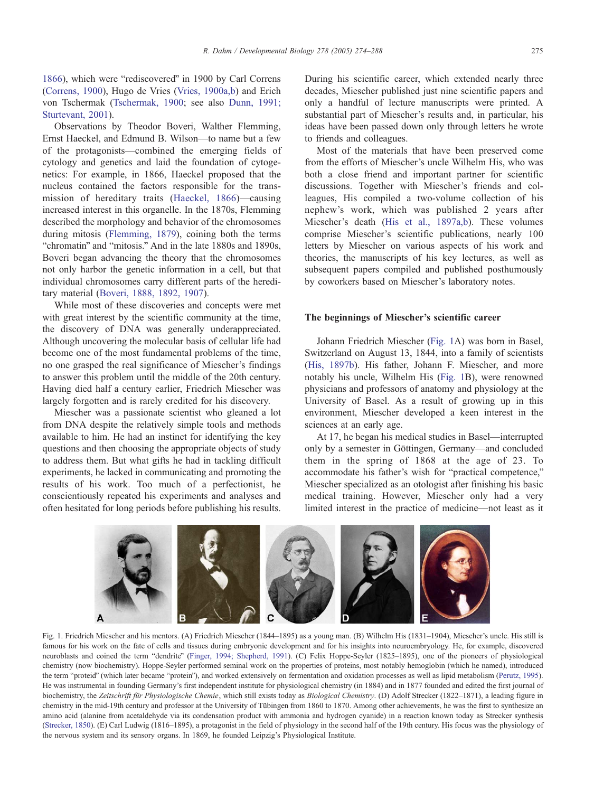<span id="page-1-0"></span>1866), which were "rediscovered" in 1900 by Carl Correns ([Correns, 1900\)](#page-11-0), Hugo de Vries ([Vries, 1900a,b\)](#page-14-0) and Erich von Tschermak ([Tschermak, 1900;](#page-13-0) see also [Dunn, 1991;](#page-11-0) Sturtevant, 2001).

Observations by Theodor Boveri, Walther Flemming, Ernst Haeckel, and Edmund B. Wilson—to name but a few of the protagonists—combined the emerging fields of cytology and genetics and laid the foundation of cytogenetics: For example, in 1866, Haeckel proposed that the nucleus contained the factors responsible for the transmission of hereditary traits ([Haeckel, 1866\)](#page-11-0)—causing increased interest in this organelle. In the 1870s, Flemming described the morphology and behavior of the chromosomes during mitosis [\(Flemming, 1879\)](#page-11-0), coining both the terms "chromatin" and "mitosis." And in the late 1880s and 1890s, Boveri began advancing the theory that the chromosomes not only harbor the genetic information in a cell, but that individual chromosomes carry different parts of the hereditary material ([Boveri, 1888, 1892, 1907\)](#page-11-0).

While most of these discoveries and concepts were met with great interest by the scientific community at the time, the discovery of DNA was generally underappreciated. Although uncovering the molecular basis of cellular life had become one of the most fundamental problems of the time, no one grasped the real significance of Miescher's findings to answer this problem until the middle of the 20th century. Having died half a century earlier, Friedrich Miescher was largely forgotten and is rarely credited for his discovery.

Miescher was a passionate scientist who gleaned a lot from DNA despite the relatively simple tools and methods available to him. He had an instinct for identifying the key questions and then choosing the appropriate objects of study to address them. But what gifts he had in tackling difficult experiments, he lacked in communicating and promoting the results of his work. Too much of a perfectionist, he conscientiously repeated his experiments and analyses and often hesitated for long periods before publishing his results.

During his scientific career, which extended nearly three decades, Miescher published just nine scientific papers and only a handful of lecture manuscripts were printed. A substantial part of Miescher's results and, in particular, his ideas have been passed down only through letters he wrote to friends and colleagues.

Most of the materials that have been preserved come from the efforts of Miescher's uncle Wilhelm His, who was both a close friend and important partner for scientific discussions. Together with Miescher's friends and colleagues, His compiled a two-volume collection of his nephew's work, which was published 2 years after Miescher's death ([His et al., 1897a,b\)](#page-11-0). These volumes comprise Miescher's scientific publications, nearly 100 letters by Miescher on various aspects of his work and theories, the manuscripts of his key lectures, as well as subsequent papers compiled and published posthumously by coworkers based on Miescher's laboratory notes.

#### The beginnings of Miescher's scientific career

Johann Friedrich Miescher (Fig. 1A) was born in Basel, Switzerland on August 13, 1844, into a family of scientists ([His, 1897b\)](#page-11-0). His father, Johann F. Miescher, and more notably his uncle, Wilhelm His (Fig. 1B), were renowned physicians and professors of anatomy and physiology at the University of Basel. As a result of growing up in this environment, Miescher developed a keen interest in the sciences at an early age.

At 17, he began his medical studies in Basel—interrupted only by a semester in Göttingen, Germany—and concluded them in the spring of 1868 at the age of 23. To accommodate his father's wish for "practical competence," Miescher specialized as an otologist after finishing his basic medical training. However, Miescher only had a very limited interest in the practice of medicine—not least as it



Fig. 1. Friedrich Miescher and his mentors. (A) Friedrich Miescher (1844–1895) as a young man. (B) Wilhelm His (1831–1904), Miescher's uncle. His still is famous for his work on the fate of cells and tissues during embryonic development and for his insights into neuroembryology. He, for example, discovered neuroblasts and coined the term "dendrite" ([Finger, 1994; Shepherd, 1991\)](#page-11-0). (C) Felix Hoppe-Seyler (1825–1895), one of the pioneers of physiological chemistry (now biochemistry). Hoppe-Seyler performed seminal work on the properties of proteins, most notably hemoglobin (which he named), introduced the term "proteid" (which later became "protein"), and worked extensively on fermentation and oxidation processes as well as lipid metabolism ([Perutz, 1995\)](#page-13-0). He was instrumental in founding Germany's first independent institute for physiological chemistry (in 1884) and in 1877 founded and edited the first journal of biochemistry, the Zeitschrift für Physiologische Chemie, which still exists today as Biological Chemistry. (D) Adolf Strecker (1822-1871), a leading figure in chemistry in the mid-19th century and professor at the University of Tübingen from 1860 to 1870. Among other achievements, he was the first to synthesize an amino acid (alanine from acetaldehyde via its condensation product with ammonia and hydrogen cyanide) in a reaction known today as Strecker synthesis [\(Strecker, 1850\)](#page-13-0). (E) Carl Ludwig (1816–1895), a protagonist in the field of physiology in the second half of the 19th century. His focus was the physiology of the nervous system and its sensory organs. In 1869, he founded Leipzig's Physiological Institute.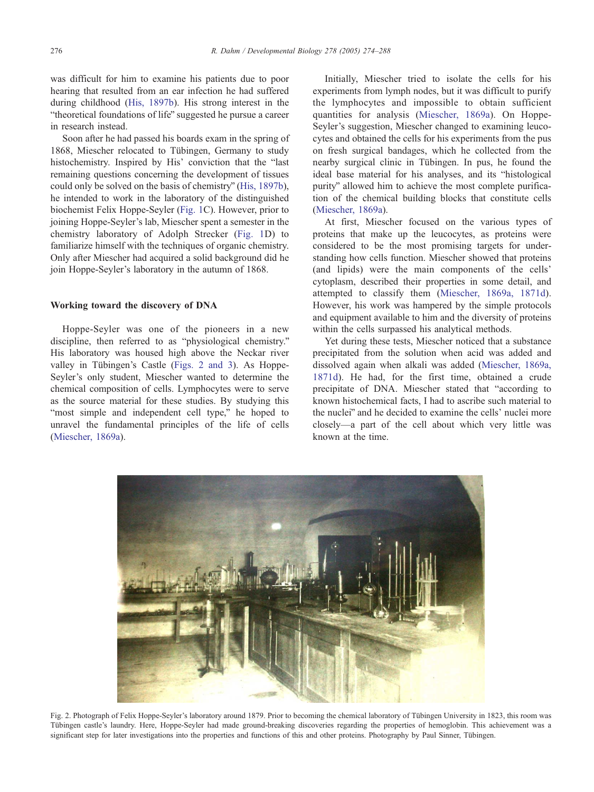was difficult for him to examine his patients due to poor hearing that resulted from an ear infection he had suffered during childhood ([His, 1897b\)](#page-11-0). His strong interest in the "theoretical foundations of life" suggested he pursue a career in research instead.

Soon after he had passed his boards exam in the spring of 1868, Miescher relocated to Tübingen, Germany to study histochemistry. Inspired by His' conviction that the "last remaining questions concerning the development of tissues could only be solved on the basis of chemistry" (His,  $1897b$ ), he intended to work in the laboratory of the distinguished biochemist Felix Hoppe-Seyler ([Fig. 1C](#page-1-0)). However, prior to joining Hoppe-Seyler's lab, Miescher spent a semester in the chemistry laboratory of Adolph Strecker ([Fig. 1D](#page-1-0)) to familiarize himself with the techniques of organic chemistry. Only after Miescher had acquired a solid background did he join Hoppe-Seyler's laboratory in the autumn of 1868.

#### Working toward the discovery of DNA

Hoppe-Seyler was one of the pioneers in a new discipline, then referred to as "physiological chemistry." His laboratory was housed high above the Neckar river valley in Tübingen's Castle (Figs. 2 and 3). As Hoppe-Seyler's only student, Miescher wanted to determine the chemical composition of cells. Lymphocytes were to serve as the source material for these studies. By studying this "most simple and independent cell type," he hoped to unravel the fundamental principles of the life of cells ([Miescher, 1869a\)](#page-12-0).

Initially, Miescher tried to isolate the cells for his experiments from lymph nodes, but it was difficult to purify the lymphocytes and impossible to obtain sufficient quantities for analysis ([Miescher, 1869a\)](#page-12-0). On Hoppe-Seyler's suggestion, Miescher changed to examining leucocytes and obtained the cells for his experiments from the pus on fresh surgical bandages, which he collected from the nearby surgical clinic in Tübingen. In pus, he found the ideal base material for his analyses, and its "histological purity" allowed him to achieve the most complete purification of the chemical building blocks that constitute cells ([Miescher, 1869a\)](#page-12-0).

At first, Miescher focused on the various types of proteins that make up the leucocytes, as proteins were considered to be the most promising targets for understanding how cells function. Miescher showed that proteins (and lipids) were the main components of the cells' cytoplasm, described their properties in some detail, and attempted to classify them ([Miescher, 1869a, 1871d\)](#page-12-0). However, his work was hampered by the simple protocols and equipment available to him and the diversity of proteins within the cells surpassed his analytical methods.

Yet during these tests, Miescher noticed that a substance precipitated from the solution when acid was added and dissolved again when alkali was added ([Miescher, 1869a,](#page-12-0) 1871d). He had, for the first time, obtained a crude precipitate of DNA. Miescher stated that "according to known histochemical facts, I had to ascribe such material to the nuclei" and he decided to examine the cells' nuclei more closely—a part of the cell about which very little was known at the time.



Fig. 2. Photograph of Felix Hoppe-Seyler's laboratory around 1879. Prior to becoming the chemical laboratory of Tübingen University in 1823, this room was Tübingen castle's laundry. Here, Hoppe-Seyler had made ground-breaking discoveries regarding the properties of hemoglobin. This achievement was a significant step for later investigations into the properties and functions of this and other proteins. Photography by Paul Sinner, Tübingen.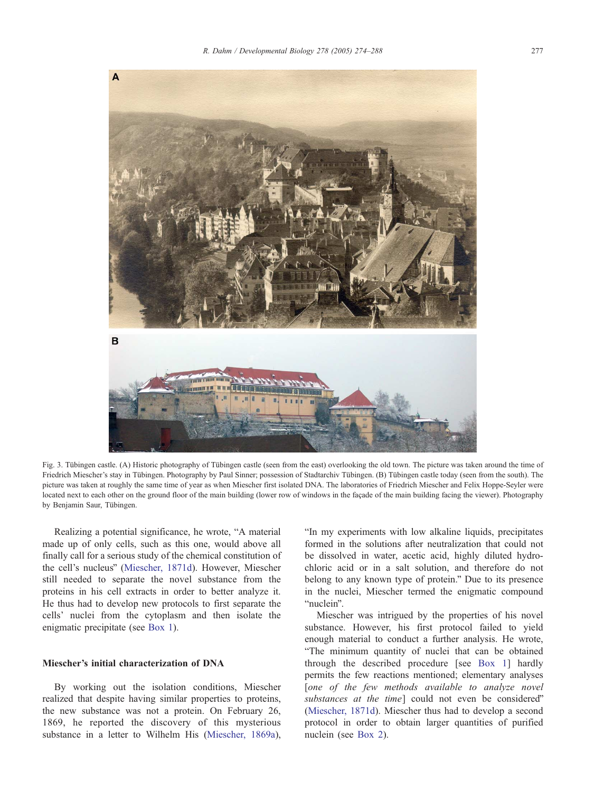

Fig. 3. Tübingen castle. (A) Historic photography of Tübingen castle (seen from the east) overlooking the old town. The picture was taken around the time of Friedrich Miescher's stay in Tübingen. Photography by Paul Sinner; possession of Stadtarchiv Tübingen. (B) Tübingen castle today (seen from the south). The picture was taken at roughly the same time of year as when Miescher first isolated DNA. The laboratories of Friedrich Miescher and Felix Hoppe-Seyler were located next to each other on the ground floor of the main building (lower row of windows in the facade of the main building facing the viewer). Photography by Benjamin Saur, Tübingen.

Realizing a potential significance, he wrote, "A material made up of only cells, such as this one, would above all finally call for a serious study of the chemical constitution of the cell's nucleus" ([Miescher, 1871d\)](#page-12-0). However, Miescher still needed to separate the novel substance from the proteins in his cell extracts in order to better analyze it. He thus had to develop new protocols to first separate the cells' nuclei from the cytoplasm and then isolate the enigmatic precipitate (see [Box 1\)](#page-4-0).

## Miescher's initial characterization of DNA

By working out the isolation conditions, Miescher realized that despite having similar properties to proteins, the new substance was not a protein. On February 26, 1869, he reported the discovery of this mysterious substance in a letter to Wilhelm His ([Miescher, 1869a\)](#page-12-0),

"In my experiments with low alkaline liquids, precipitates formed in the solutions after neutralization that could not be dissolved in water, acetic acid, highly diluted hydrochloric acid or in a salt solution, and therefore do not belong to any known type of protein." Due to its presence in the nuclei, Miescher termed the enigmatic compound "nuclein".

Miescher was intrigued by the properties of his novel substance. However, his first protocol failed to yield enough material to conduct a further analysis. He wrote, "The minimum quantity of nuclei that can be obtained through the described procedure [see [Box 1\]](#page-4-0) hardly permits the few reactions mentioned; elementary analyses [one of the few methods available to analyze novel substances at the time] could not even be considered" ([Miescher, 1871d\)](#page-12-0). Miescher thus had to develop a second protocol in order to obtain larger quantities of purified nuclein (see [Box 2\)](#page-5-0).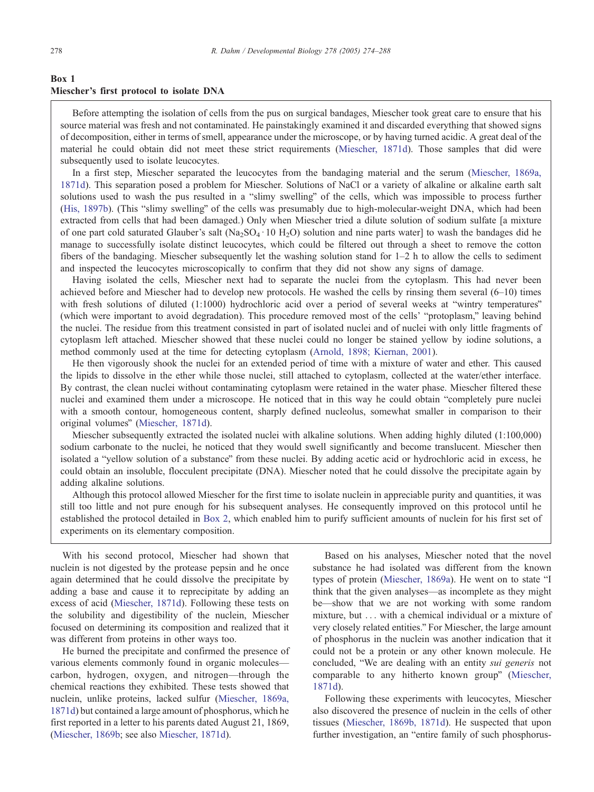## <span id="page-4-0"></span>Box 1 Miescher's first protocol to isolate DNA

Before attempting the isolation of cells from the pus on surgical bandages, Miescher took great care to ensure that his source material was fresh and not contaminated. He painstakingly examined it and discarded everything that showed signs of decomposition, either in terms of smell, appearance under the microscope, or by having turned acidic. A great deal of the material he could obtain did not meet these strict requirement[s \(Miescher, 1871](#page-12-0)d). Those samples that did were subsequently used to isolate leucocytes.

In a first step, Miescher separated the leucocytes from the bandaging material and the seru[m \(Miescher, 1869a,](#page-12-0) 1871d). This separation posed a problem for Miescher. Solutions of NaCl or a variety of alkaline or alkaline earth salt solutions used to wash the pus resulted in a "slimy swelling" of the cells, which was impossible to process further [\(His, 1897](#page-11-0)b). (This "slimy swelling" of the cells was presumably due to high-molecular-weight DNA, which had been extracted from cells that had been damaged.) Only when Miescher tried a dilute solution of sodium sulfate [a mixture of one part cold saturated Glauber's salt (Na<sub>2</sub>SO<sub>4</sub>  $\cdot$  10 H<sub>2</sub>O) solution and nine parts water] to wash the bandages did he manage to successfully isolate distinct leucocytes, which could be filtered out through a sheet to remove the cotton fibers of the bandaging. Miescher subsequently let the washing solution stand for 1–2 h to allow the cells to sediment and inspected the leucocytes microscopically to confirm that they did not show any signs of damage.

Having isolated the cells, Miescher next had to separate the nuclei from the cytoplasm. This had never been achieved before and Miescher had to develop new protocols. He washed the cells by rinsing them several (6–10) times with fresh solutions of diluted  $(1:1000)$  hydrochloric acid over a period of several weeks at "wintry temperatures" (which were important to avoid degradation). This procedure removed most of the cells' "protoplasm," leaving behind the nuclei. The residue from this treatment consisted in part of isolated nuclei and of nuclei with only little fragments of cytoplasm left attached. Miescher showed that these nuclei could no longer be stained yellow by iodine solutions, a method commonly used at the time for detecting cytoplas[m \(Arnold, 1898; Kiernan, 200](#page-11-0)1).

He then vigorously shook the nuclei for an extended period of time with a mixture of water and ether. This caused the lipids to dissolve in the ether while those nuclei, still attached to cytoplasm, collected at the water/ether interface. By contrast, the clean nuclei without contaminating cytoplasm were retained in the water phase. Miescher filtered these nuclei and examined them under a microscope. He noticed that in this way he could obtain "completely pure nuclei with a smooth contour, homogeneous content, sharply defined nucleolus, somewhat smaller in comparison to their original volumes" [\(Miescher, 1871](#page-12-0)d).

Miescher subsequently extracted the isolated nuclei with alkaline solutions. When adding highly diluted (1:100,000) sodium carbonate to the nuclei, he noticed that they would swell significantly and become translucent. Miescher then isolated a "yellow solution of a substance" from these nuclei. By adding acetic acid or hydrochloric acid in excess, he could obtain an insoluble, flocculent precipitate (DNA). Miescher noted that he could dissolve the precipitate again by adding alkaline solutions.

Although this protocol allowed Miescher for the first time to isolate nuclein in appreciable purity and quantities, it was still too little and not pure enough for his subsequent analyses. He consequently improved on this protocol until he established the protocol detailed in [Box](#page-5-0) 2, which enabled him to purify sufficient amounts of nuclein for his first set of experiments on its elementary composition.

With his second protocol, Miescher had shown that nuclein is not digested by the protease pepsin and he once again determined that he could dissolve the precipitate by adding a base and cause it to reprecipitate by adding an excess of acid ([Miescher, 1871d\)](#page-12-0). Following these tests on the solubility and digestibility of the nuclein, Miescher focused on determining its composition and realized that it was different from proteins in other ways too.

He burned the precipitate and confirmed the presence of various elements commonly found in organic molecules carbon, hydrogen, oxygen, and nitrogen—through the chemical reactions they exhibited. These tests showed that nuclein, unlike proteins, lacked sulfur ([Miescher, 1869a,](#page-12-0) 1871d) but contained a large amount of phosphorus, which he first reported in a letter to his parents dated August 21, 1869, ([Miescher, 1869b;](#page-12-0) see also [Miescher, 1871d\)](#page-12-0).

Based on his analyses, Miescher noted that the novel substance he had isolated was different from the known types of protein ([Miescher, 1869a\)](#page-12-0). He went on to state "I think that the given analyses—as incomplete as they might be—show that we are not working with some random mixture, but ... with a chemical individual or a mixture of very closely related entities." For Miescher, the large amount of phosphorus in the nuclein was another indication that it could not be a protein or any other known molecule. He concluded, "We are dealing with an entity sui generis not comparable to any hitherto known group" ([Miescher,](#page-12-0) 1871d).

Following these experiments with leucocytes, Miescher also discovered the presence of nuclein in the cells of other tissues ([Miescher, 1869b, 1871d\)](#page-12-0). He suspected that upon further investigation, an "entire family of such phosphorus-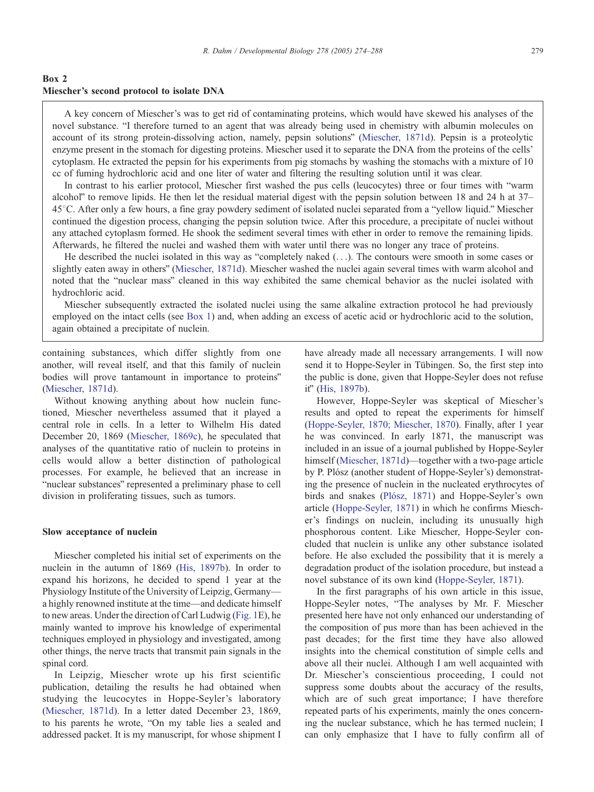## <span id="page-5-0"></span>Box 2 Miescher's second protocol to isolate DNA

A key concern of Miescher's was to get rid of contaminating proteins, which would have skewed his analyses of the novel substance. "I therefore turned to an agent that was already being used in chemistry with albumin molecules on account of its strong protein-dissolving action, namely, pepsin solutions" [\(Miescher, 1871](#page-12-0)d). Pepsin is a proteolytic enzyme present in the stomach for digesting proteins. Miescher used it to separate the DNA from the proteins of the cells' cytoplasm. He extracted the pepsin for his experiments from pig stomachs by washing the stomachs with a mixture of 10 cc of fuming hydrochloric acid and one liter of water and filtering the resulting solution until it was clear.

In contrast to his earlier protocol, Miescher first washed the pus cells (leucocytes) three or four times with "warm alcohol" to remove lipids. He then let the residual material digest with the pepsin solution between 18 and 24 h at 37–  $45^{\circ}$ C. After only a few hours, a fine gray powdery sediment of isolated nuclei separated from a "yellow liquid." Miescher continued the digestion process, changing the pepsin solution twice. After this procedure, a precipitate of nuclei without any attached cytoplasm formed. He shook the sediment several times with ether in order to remove the remaining lipids. Afterwards, he filtered the nuclei and washed them with water until there was no longer any trace of proteins.

He described the nuclei isolated in this way as "completely naked  $(\ldots)$ . The contours were smooth in some cases or slightly eaten away in others" [\(Miescher, 1871](#page-12-0)d). Miescher washed the nuclei again several times with warm alcohol and noted that the "nuclear mass" cleaned in this way exhibited the same chemical behavior as the nuclei isolated with hydrochloric acid.

Miescher subsequently extracted the isolated nuclei using the same alkaline extraction protocol he had previously employed on the intact cells (see [Box](#page-4-0) 1) and, when adding an excess of acetic acid or hydrochloric acid to the solution, again obtained a precipitate of nuclein.

containing substances, which differ slightly from one another, will reveal itself, and that this family of nuclein bodies will prove tantamount in importance to proteins" ([Miescher, 1871d\)](#page-12-0).

Without knowing anything about how nuclein functioned, Miescher nevertheless assumed that it played a central role in cells. In a letter to Wilhelm His dated December 20, 1869 ([Miescher, 1869c\)](#page-12-0), he speculated that analyses of the quantitative ratio of nuclein to proteins in cells would allow a better distinction of pathological processes. For example, he believed that an increase in "nuclear substances" represented a preliminary phase to cell division in proliferating tissues, such as tumors.

#### Slow acceptance of nuclein

Miescher completed his initial set of experiments on the nuclein in the autumn of 1869 ([His, 1897b\)](#page-11-0). In order to expand his horizons, he decided to spend 1 year at the Physiology Institute of the University of Leipzig, Germany a highly renowned institute at the time—and dedicate himself to new areas. Under the direction of Carl Ludwig ([Fig. 1E](#page-1-0)), he mainly wanted to improve his knowledge of experimental techniques employed in physiology and investigated, among other things, the nerve tracts that transmit pain signals in the spinal cord.

In Leipzig, Miescher wrote up his first scientific publication, detailing the results he had obtained when studying the leucocytes in Hoppe-Seyler's laboratory ([Miescher, 1871d\)](#page-12-0). In a letter dated December 23, 1869, to his parents he wrote, "On my table lies a sealed and addressed packet. It is my manuscript, for whose shipment I have already made all necessary arrangements. I will now send it to Hoppe-Seyler in Tübingen. So, the first step into the public is done, given that Hoppe-Seyler does not refuse it" ([His, 1897b\)](#page-11-0).

However, Hoppe-Seyler was skeptical of Miescher's results and opted to repeat the experiments for himself ([Hoppe-Seyler, 1870; Miescher, 1870\)](#page-11-0). Finally, after 1 year he was convinced. In early 1871, the manuscript was included in an issue of a journal published by Hoppe-Seyler himself ([Miescher, 1871d\)](#page-12-0)—together with a two-page article by P. Plósz (another student of Hoppe-Seyler's) demonstrating the presence of nuclein in the nucleated erythrocytes of birds and snakes (Plósz, 1871) and Hoppe-Seyler's own article ([Hoppe-Seyler, 1871\)](#page-11-0) in which he confirms Miescher's findings on nuclein, including its unusually high phosphorous content. Like Miescher, Hoppe-Seyler concluded that nuclein is unlike any other substance isolated before. He also excluded the possibility that it is merely a degradation product of the isolation procedure, but instead a novel substance of its own kind ([Hoppe-Seyler, 1871\)](#page-11-0).

In the first paragraphs of his own article in this issue, Hoppe-Seyler notes, "The analyses by Mr. F. Miescher presented here have not only enhanced our understanding of the composition of pus more than has been achieved in the past decades; for the first time they have also allowed insights into the chemical constitution of simple cells and above all their nuclei. Although I am well acquainted with Dr. Miescher's conscientious proceeding, I could not suppress some doubts about the accuracy of the results, which are of such great importance; I have therefore repeated parts of his experiments, mainly the ones concerning the nuclear substance, which he has termed nuclein; I can only emphasize that I have to fully confirm all of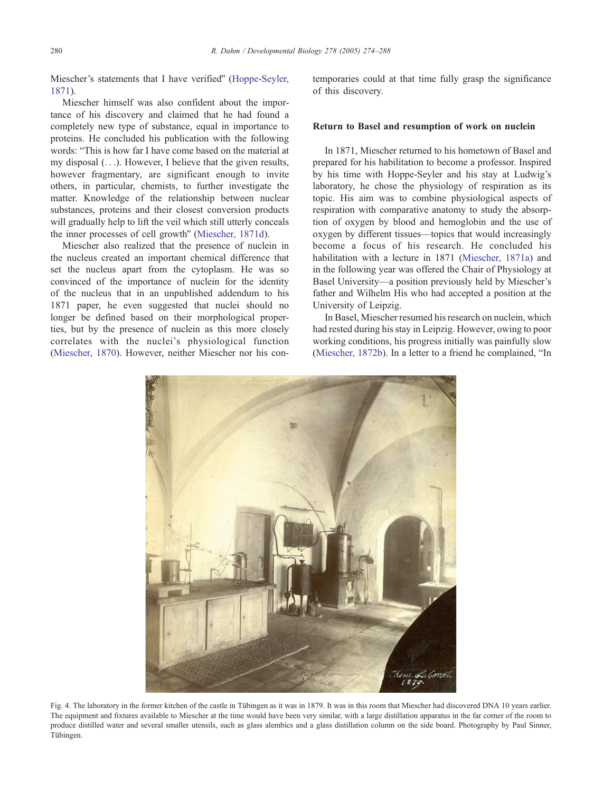<span id="page-6-0"></span>Miescher's statements that I have verified" ([Hoppe-Seyler,](#page-11-0) 1871).

Miescher himself was also confident about the importance of his discovery and claimed that he had found a completely new type of substance, equal in importance to proteins. He concluded his publication with the following words: "This is how far I have come based on the material at my disposal (...). However, I believe that the given results, however fragmentary, are significant enough to invite others, in particular, chemists, to further investigate the matter. Knowledge of the relationship between nuclear substances, proteins and their closest conversion products will gradually help to lift the veil which still utterly conceals the inner processes of cell growth" ([Miescher, 1871d\)](#page-12-0).

Miescher also realized that the presence of nuclein in the nucleus created an important chemical difference that set the nucleus apart from the cytoplasm. He was so convinced of the importance of nuclein for the identity of the nucleus that in an unpublished addendum to his 1871 paper, he even suggested that nuclei should no longer be defined based on their morphological properties, but by the presence of nuclein as this more closely correlates with the nuclei's physiological function ([Miescher, 1870\)](#page-12-0). However, neither Miescher nor his contemporaries could at that time fully grasp the significance of this discovery.

#### Return to Basel and resumption of work on nuclein

In 1871, Miescher returned to his hometown of Basel and prepared for his habilitation to become a professor. Inspired by his time with Hoppe-Seyler and his stay at Ludwig's laboratory, he chose the physiology of respiration as its topic. His aim was to combine physiological aspects of respiration with comparative anatomy to study the absorption of oxygen by blood and hemoglobin and the use of oxygen by different tissues—topics that would increasingly become a focus of his research. He concluded his habilitation with a lecture in 1871 ([Miescher, 1871a\)](#page-12-0) and in the following year was offered the Chair of Physiology at Basel University—a position previously held by Miescher's father and Wilhelm His who had accepted a position at the University of Leipzig.

In Basel, Miescher resumed his research on nuclein, which had rested during his stay in Leipzig. However, owing to poor working conditions, his progress initially was painfully slow ([Miescher, 1872b\)](#page-12-0). In a letter to a friend he complained, "In



Fig. 4. The laboratory in the former kitchen of the castle in Tübingen as it was in 1879. It was in this room that Miescher had discovered DNA 10 years earlier. The equipment and fixtures available to Miescher at the time would have been very similar, with a large distillation apparatus in the far corner of the room to produce distilled water and several smaller utensils, such as glass alembics and a glass distillation column on the side board. Photography by Paul Sinner, Tübingen.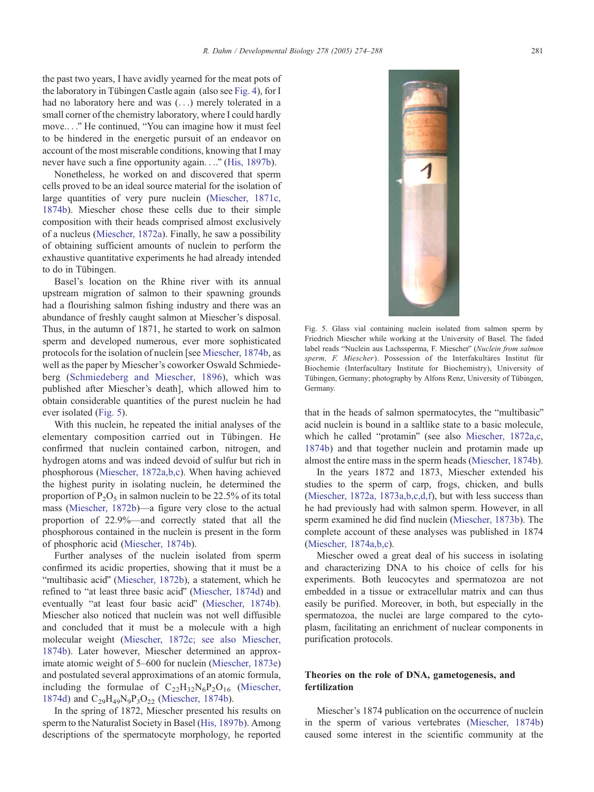the past two years, I have avidly yearned for the meat pots of the laboratory in Tübingen Castle again (also see [Fig. 4\)](#page-6-0), for I had no laboratory here and was (...) merely tolerated in a small corner of the chemistry laboratory, where I could hardly move...." He continued, "You can imagine how it must feel to be hindered in the energetic pursuit of an endeavor on account of the most miserable conditions, knowing that I may never have such a fine opportunity again...." ([His, 1897b\)](#page-11-0).

Nonetheless, he worked on and discovered that sperm cells proved to be an ideal source material for the isolation of large quantities of very pure nuclein ([Miescher, 1871c,](#page-12-0) 1874b). Miescher chose these cells due to their simple composition with their heads comprised almost exclusively of a nucleus ([Miescher, 1872a\)](#page-12-0). Finally, he saw a possibility of obtaining sufficient amounts of nuclein to perform the exhaustive quantitative experiments he had already intended to do in Tübingen.

Basel's location on the Rhine river with its annual upstream migration of salmon to their spawning grounds had a flourishing salmon fishing industry and there was an abundance of freshly caught salmon at Miescher's disposal. Thus, in the autumn of 1871, he started to work on salmon sperm and developed numerous, ever more sophisticated protocols for the isolation of nuclein [see [Miescher, 1874b,](#page-12-0) as well as the paper by Miescher's coworker Oswald Schmiedeberg ([Schmiedeberg and Miescher, 1896\)](#page-13-0), which was published after Miescher's death], which allowed him to obtain considerable quantities of the purest nuclein he had ever isolated (Fig. 5).

With this nuclein, he repeated the initial analyses of the elementary composition carried out in Tübingen. He confirmed that nuclein contained carbon, nitrogen, and hydrogen atoms and was indeed devoid of sulfur but rich in phosphorous ([Miescher, 1872a,b,c\)](#page-12-0). When having achieved the highest purity in isolating nuclein, he determined the proportion of  $P_2O_5$  in salmon nuclein to be 22.5% of its total mass ([Miescher, 1872b\)](#page-12-0)—a figure very close to the actual proportion of 22.9%—and correctly stated that all the phosphorous contained in the nuclein is present in the form of phosphoric acid ([Miescher, 1874b\)](#page-12-0).

Further analyses of the nuclein isolated from sperm confirmed its acidic properties, showing that it must be a "multibasic acid" ([Miescher, 1872b\)](#page-12-0), a statement, which he refined to "at least three basic acid" ([Miescher, 1874d\)](#page-12-0) and eventually "at least four basic acid" ([Miescher, 1874b\)](#page-12-0). Miescher also noticed that nuclein was not well diffusible and concluded that it must be a molecule with a high molecular weight ([Miescher, 1872c; see also Miescher,](#page-12-0) 1874b). Later however, Miescher determined an approximate atomic weight of 5–600 for nuclein ([Miescher, 1873e\)](#page-12-0) and postulated several approximations of an atomic formula, including the formulae of  $C_{22}H_{32}N_6P_2O_{16}$  ([Miescher,](#page-12-0) 1874d) and  $C_{29}H_{49}N_9P_3O_{22}$  ([Miescher, 1874b\)](#page-12-0).

In the spring of 1872, Miescher presented his results on sperm to the Naturalist Society in Basel ([His, 1897b\)](#page-11-0). Among descriptions of the spermatocyte morphology, he reported



Fig. 5. Glass vial containing nuclein isolated from salmon sperm by Friedrich Miescher while working at the University of Basel. The faded label reads "Nuclein aus Lachssperma, F. Miescher" (Nuclein from salmon sperm, F. Miescher). Possession of the Interfakultäres Institut für Biochemie (Interfacultary Institute for Biochemistry), University of Tübingen, Germany; photography by Alfons Renz, University of Tübingen, Germany.

that in the heads of salmon spermatocytes, the "multibasic" acid nuclein is bound in a saltlike state to a basic molecule, which he called "protamin" (see also [Miescher, 1872a,c,](#page-12-0) [1874b\)](#page-12-0) and that together nuclein and protamin made up almost the entire mass in the sperm heads ([Miescher, 1874b\)](#page-12-0).

In the years 1872 and 1873, Miescher extended his studies to the sperm of carp, frogs, chicken, and bulls ([Miescher, 1872a, 1873a,b,c,d,f\)](#page-12-0), but with less success than he had previously had with salmon sperm. However, in all sperm examined he did find nuclein ([Miescher, 1873b\)](#page-12-0). The complete account of these analyses was published in 1874 ([Miescher, 1874a,b,c\)](#page-12-0).

Miescher owed a great deal of his success in isolating and characterizing DNA to his choice of cells for his experiments. Both leucocytes and spermatozoa are not embedded in a tissue or extracellular matrix and can thus easily be purified. Moreover, in both, but especially in the spermatozoa, the nuclei are large compared to the cytoplasm, facilitating an enrichment of nuclear components in purification protocols.

## Theories on the role of DNA, gametogenesis, and fertilization

Miescher's 1874 publication on the occurrence of nuclein in the sperm of various vertebrates ([Miescher, 1874b\)](#page-12-0) caused some interest in the scientific community at the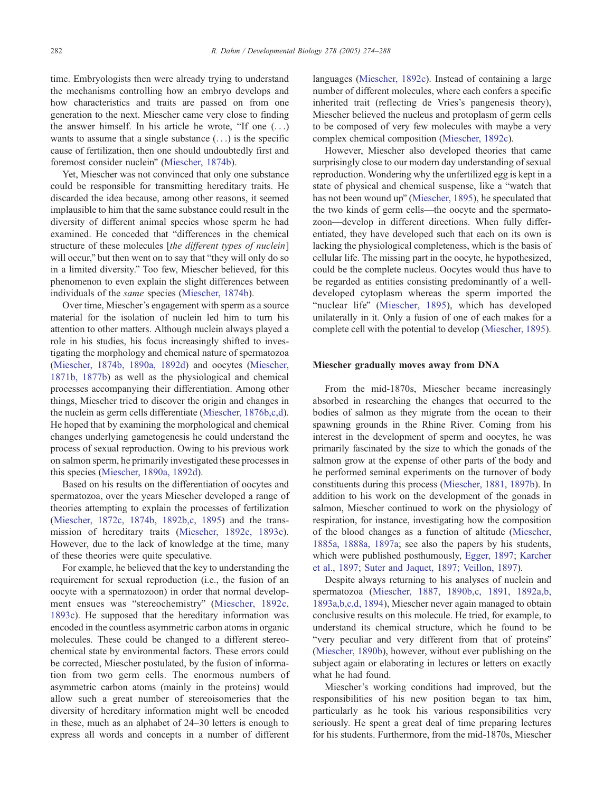time. Embryologists then were already trying to understand the mechanisms controlling how an embryo develops and how characteristics and traits are passed on from one generation to the next. Miescher came very close to finding the answer himself. In his article he wrote, "If one  $(\ldots)$ wants to assume that a single substance  $(\ldots)$  is the specific cause of fertilization, then one should undoubtedly first and foremost consider nuclein" ([Miescher, 1874b\)](#page-12-0).

Yet, Miescher was not convinced that only one substance could be responsible for transmitting hereditary traits. He discarded the idea because, among other reasons, it seemed implausible to him that the same substance could result in the diversity of different animal species whose sperm he had examined. He conceded that "differences in the chemical structure of these molecules [the different types of nuclein] will occur," but then went on to say that "they will only do so in a limited diversity." Too few, Miescher believed, for this phenomenon to even explain the slight differences between individuals of the same species ([Miescher, 1874b\)](#page-12-0).

Over time, Miescher's engagement with sperm as a source material for the isolation of nuclein led him to turn his attention to other matters. Although nuclein always played a role in his studies, his focus increasingly shifted to investigating the morphology and chemical nature of spermatozoa ([Miescher, 1874b, 1890a, 1892d\)](#page-12-0) and oocytes ([Miescher,](#page-12-0) 1871b, 1877b) as well as the physiological and chemical processes accompanying their differentiation. Among other things, Miescher tried to discover the origin and changes in the nuclein as germ cells differentiate ([Miescher, 1876b,c,d\)](#page-12-0). He hoped that by examining the morphological and chemical changes underlying gametogenesis he could understand the process of sexual reproduction. Owing to his previous work on salmon sperm, he primarily investigated these processes in this species ([Miescher, 1890a, 1892d\)](#page-13-0).

Based on his results on the differentiation of oocytes and spermatozoa, over the years Miescher developed a range of theories attempting to explain the processes of fertilization ([Miescher, 1872c, 1874b, 1892b,c, 1895\)](#page-12-0) and the transmission of hereditary traits ([Miescher, 1892c, 1893c\)](#page-13-0). However, due to the lack of knowledge at the time, many of these theories were quite speculative.

For example, he believed that the key to understanding the requirement for sexual reproduction (i.e., the fusion of an oocyte with a spermatozoon) in order that normal develop-ment ensues was "stereochemistry" ([Miescher, 1892c,](#page-13-0) 1893c). He supposed that the hereditary information was encoded in the countless asymmetric carbon atoms in organic molecules. These could be changed to a different stereochemical state by environmental factors. These errors could be corrected, Miescher postulated, by the fusion of information from two germ cells. The enormous numbers of asymmetric carbon atoms (mainly in the proteins) would allow such a great number of stereoisomeries that the diversity of hereditary information might well be encoded in these, much as an alphabet of 24–30 letters is enough to express all words and concepts in a number of different

languages ([Miescher, 1892c\)](#page-13-0). Instead of containing a large number of different molecules, where each confers a specific inherited trait (reflecting de Vries's pangenesis theory), Miescher believed the nucleus and protoplasm of germ cells to be composed of very few molecules with maybe a very complex chemical composition ([Miescher, 1892c\)](#page-13-0).

However, Miescher also developed theories that came surprisingly close to our modern day understanding of sexual reproduction. Wondering why the unfertilized egg is kept in a state of physical and chemical suspense, like a "watch that has not been wound up" ([Miescher, 1895\)](#page-13-0), he speculated that the two kinds of germ cells—the oocyte and the spermatozoon—develop in different directions. When fully differentiated, they have developed such that each on its own is lacking the physiological completeness, which is the basis of cellular life. The missing part in the oocyte, he hypothesized, could be the complete nucleus. Oocytes would thus have to be regarded as entities consisting predominantly of a welldeveloped cytoplasm whereas the sperm imported the "nuclear life" ([Miescher, 1895\)](#page-13-0), which has developed unilaterally in it. Only a fusion of one of each makes for a complete cell with the potential to develop ([Miescher, 1895\)](#page-13-0).

## Miescher gradually moves away from DNA

From the mid-1870s, Miescher became increasingly absorbed in researching the changes that occurred to the bodies of salmon as they migrate from the ocean to their spawning grounds in the Rhine River. Coming from his interest in the development of sperm and oocytes, he was primarily fascinated by the size to which the gonads of the salmon grow at the expense of other parts of the body and he performed seminal experiments on the turnover of body constituents during this process ([Miescher, 1881, 1897b\)](#page-12-0). In addition to his work on the development of the gonads in salmon, Miescher continued to work on the physiology of respiration, for instance, investigating how the composition of the blood changes as a function of altitude ([Miescher,](#page-13-0) 1885a, 1888a, 1897a; see also the papers by his students, which were published posthumously, [Egger, 1897; Karcher](#page-11-0) et al., 1897; Suter and Jaquet, 1897; Veillon, 1897).

Despite always returning to his analyses of nuclein and spermatozoa ([Miescher, 1887, 1890b,c, 1891, 1892a,b,](#page-13-0) 1893a,b,c,d, 1894), Miescher never again managed to obtain conclusive results on this molecule. He tried, for example, to understand its chemical structure, which he found to be "very peculiar and very different from that of proteins" ([Miescher, 1890b\)](#page-13-0), however, without ever publishing on the subject again or elaborating in lectures or letters on exactly what he had found.

Miescher's working conditions had improved, but the responsibilities of his new position began to tax him, particularly as he took his various responsibilities very seriously. He spent a great deal of time preparing lectures for his students. Furthermore, from the mid-1870s, Miescher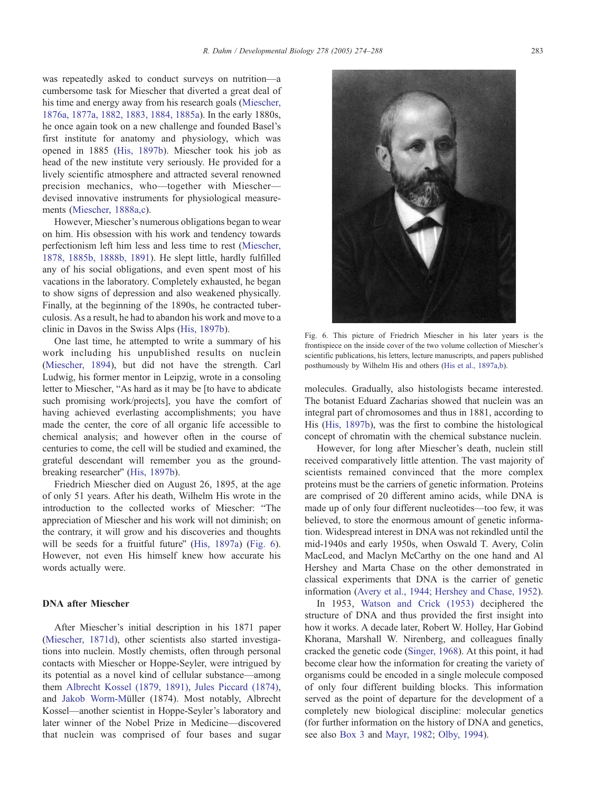was repeatedly asked to conduct surveys on nutrition—a cumbersome task for Miescher that diverted a great deal of his time and energy away from his research goals ([Miescher,](#page-12-0) 1876a, 1877a, 1882, 1883, 1884, 1885a). In the early 1880s, he once again took on a new challenge and founded Basel's first institute for anatomy and physiology, which was opened in 1885 ([His, 1897b\)](#page-11-0). Miescher took his job as head of the new institute very seriously. He provided for a lively scientific atmosphere and attracted several renowned precision mechanics, who—together with Miescher devised innovative instruments for physiological measurements ([Miescher, 1888a,c\)](#page-13-0).

However, Miescher's numerous obligations began to wear on him. His obsession with his work and tendency towards perfectionism left him less and less time to rest ([Miescher,](#page-12-0) 1878, 1885b, 1888b, 1891). He slept little, hardly fulfilled any of his social obligations, and even spent most of his vacations in the laboratory. Completely exhausted, he began to show signs of depression and also weakened physically. Finally, at the beginning of the 1890s, he contracted tuberculosis. As a result, he had to abandon his work and move to a clinic in Davos in the Swiss Alps ([His, 1897b\)](#page-11-0).

One last time, he attempted to write a summary of his work including his unpublished results on nuclein ([Miescher, 1894\)](#page-13-0), but did not have the strength. Carl Ludwig, his former mentor in Leipzig, wrote in a consoling letter to Miescher, "As hard as it may be [to have to abdicate such promising work/projects], you have the comfort of having achieved everlasting accomplishments; you have made the center, the core of all organic life accessible to chemical analysis; and however often in the course of centuries to come, the cell will be studied and examined, the grateful descendant will remember you as the ground-breaking researcher" ([His, 1897b\)](#page-11-0).

Friedrich Miescher died on August 26, 1895, at the age of only 51 years. After his death, Wilhelm His wrote in the introduction to the collected works of Miescher: "The appreciation of Miescher and his work will not diminish; on the contrary, it will grow and his discoveries and thoughts will be seeds for a fruitful future" ([His, 1897a\)](#page-11-0) (Fig. 6). However, not even His himself knew how accurate his words actually were.

#### DNA after Miescher

After Miescher's initial description in his 1871 paper ([Miescher, 1871d\)](#page-12-0), other scientists also started investigations into nuclein. Mostly chemists, often through personal contacts with Miescher or Hoppe-Seyler, were intrigued by its potential as a novel kind of cellular substance—among them [Albrecht Kossel \(1879, 1891\),](#page-11-0) [Jules Piccard \(1874\),](#page-13-0) and [Jakob Worm-M](#page-14-0)üller (1874). Most notably, Albrecht Kossel—another scientist in Hoppe-Seyler's laboratory and later winner of the Nobel Prize in Medicine—discovered that nuclein was comprised of four bases and sugar



Fig. 6. This picture of Friedrich Miescher in his later years is the frontispiece on the inside cover of the two volume collection of Miescher's scientific publications, his letters, lecture manuscripts, and papers published posthumously by Wilhelm His and others ([His et al., 1897a,b\)](#page-11-0).

molecules. Gradually, also histologists became interested. The botanist Eduard Zacharias showed that nuclein was an integral part of chromosomes and thus in 1881, according to His ([His, 1897b\)](#page-11-0), was the first to combine the histological concept of chromatin with the chemical substance nuclein.

However, for long after Miescher's death, nuclein still received comparatively little attention. The vast majority of scientists remained convinced that the more complex proteins must be the carriers of genetic information. Proteins are comprised of 20 different amino acids, while DNA is made up of only four different nucleotides—too few, it was believed, to store the enormous amount of genetic information. Widespread interest in DNA was not rekindled until the mid-1940s and early 1950s, when Oswald T. Avery, Colin MacLeod, and Maclyn McCarthy on the one hand and Al Hershey and Marta Chase on the other demonstrated in classical experiments that DNA is the carrier of genetic information ([Avery et al., 1944; Hershey and Chase, 1952\)](#page-11-0).

In 1953, [Watson and Crick \(1953\)](#page-14-0) deciphered the structure of DNA and thus provided the first insight into how it works. A decade later, Robert W. Holley, Har Gobind Khorana, Marshall W. Nirenberg, and colleagues finally cracked the genetic code ([Singer, 1968\)](#page-13-0). At this point, it had become clear how the information for creating the variety of organisms could be encoded in a single molecule composed of only four different building blocks. This information served as the point of departure for the development of a completely new biological discipline: molecular genetics (for further information on the history of DNA and genetics, see also [Box 3](#page-10-0) and [Mayr, 1982;](#page-12-0) [Olby, 1994\)](#page-13-0).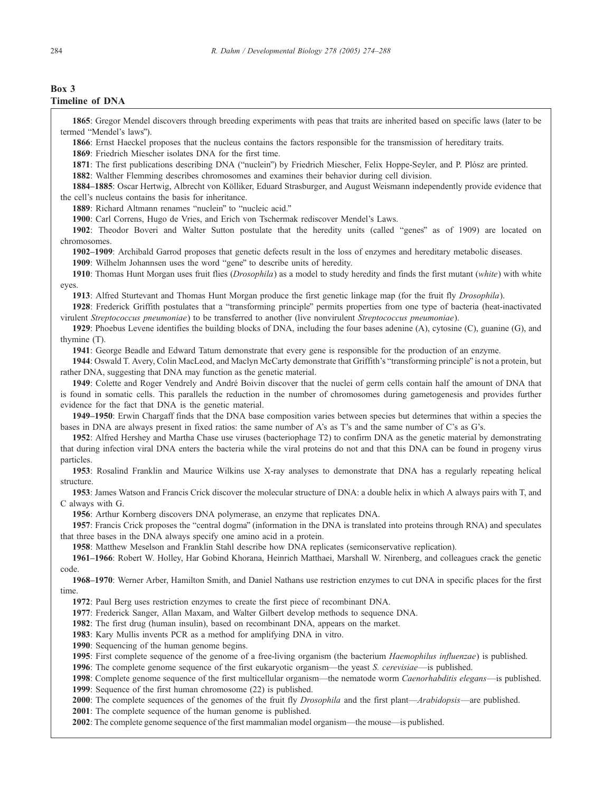# <span id="page-10-0"></span>Box 3 Timeline of DNA

: Gregor Mendel discovers through breeding experiments with peas that traits are inherited based on specific laws (later to be termed "Mendel's laws"). : Ernst Haeckel proposes that the nucleus contains the factors responsible for the transmission of hereditary traits. : Friedrich Miescher isolates DNA for the first time.

1871: The first publications describing DNA ("nuclein") by Friedrich Miescher, Felix Hoppe-Seyler, and P. Plósz are printed.

1882: Walther Flemming describes chromosomes and examines their behavior during cell division.

1884–1885: Oscar Hertwig, Albrecht von Kölliker, Eduard Strasburger, and August Weismann independently provide evidence that the cell's nucleus contains the basis for inheritance.

1889: Richard Altmann renames "nuclein" to "nucleic acid."

1900: Carl Correns, Hugo de Vries, and Erich von Tschermak rediscover Mendel's Laws.

1902: Theodor Boveri and Walter Sutton postulate that the heredity units (called "genes" as of 1909) are located on chromosomes.

1902–1909: Archibald Garrod proposes that genetic defects result in the loss of enzymes and hereditary metabolic diseases.

1909: Wilhelm Johannsen uses the word "gene" to describe units of heredity.

1910: Thomas Hunt Morgan uses fruit flies (*Drosophila*) as a model to study heredity and finds the first mutant (white) with white eyes.

1913: Alfred Sturtevant and Thomas Hunt Morgan produce the first genetic linkage map (for the fruit fly Drosophila).

1928: Frederick Griffith postulates that a "transforming principle" permits properties from one type of bacteria (heat-inactivated virulent Streptococcus pneumoniae) to be transferred to another (live nonvirulent Streptococcus pneumoniae).

1929: Phoebus Levene identifies the building blocks of DNA, including the four bases adenine (A), cytosine (C), guanine (G), and thymine (T).

1941: George Beadle and Edward Tatum demonstrate that every gene is responsible for the production of an enzyme.

1944: Oswald T. Avery, Colin MacLeod, and Maclyn McCarty demonstrate that Griffith's "transforming principle" is not a protein, but rather DNA, suggesting that DNA may function as the genetic material.

1949: Colette and Roger Vendrely and Andre´ Boivin discover that the nuclei of germ cells contain half the amount of DNA that is found in somatic cells. This parallels the reduction in the number of chromosomes during gametogenesis and provides further evidence for the fact that DNA is the genetic material.

1949–1950: Erwin Chargaff finds that the DNA base composition varies between species but determines that within a species the bases in DNA are always present in fixed ratios: the same number of A's as T's and the same number of C's as G's.

1952: Alfred Hershey and Martha Chase use viruses (bacteriophage T2) to confirm DNA as the genetic material by demonstrating that during infection viral DNA enters the bacteria while the viral proteins do not and that this DNA can be found in progeny virus particles.

1953: Rosalind Franklin and Maurice Wilkins use X-ray analyses to demonstrate that DNA has a regularly repeating helical structure.

1953: James Watson and Francis Crick discover the molecular structure of DNA: a double helix in which A always pairs with T, and C always with G.

1956: Arthur Kornberg discovers DNA polymerase, an enzyme that replicates DNA.

1957: Francis Crick proposes the "central dogma" (information in the DNA is translated into proteins through RNA) and speculates that three bases in the DNA always specify one amino acid in a protein.

1958: Matthew Meselson and Franklin Stahl describe how DNA replicates (semiconservative replication).

1961–1966: Robert W. Holley, Har Gobind Khorana, Heinrich Matthaei, Marshall W. Nirenberg, and colleagues crack the genetic code.

1968–1970: Werner Arber, Hamilton Smith, and Daniel Nathans use restriction enzymes to cut DNA in specific places for the first time.

1972: Paul Berg uses restriction enzymes to create the first piece of recombinant DNA.

1977: Frederick Sanger, Allan Maxam, and Walter Gilbert develop methods to sequence DNA.

1982: The first drug (human insulin), based on recombinant DNA, appears on the market.

1983: Kary Mullis invents PCR as a method for amplifying DNA in vitro.

1990: Sequencing of the human genome begins.

1995: First complete sequence of the genome of a free-living organism (the bacterium Haemophilus influenzae) is published.

1996: The complete genome sequence of the first eukaryotic organism—the yeast S. cerevisiae—is published.

1998: Complete genome sequence of the first multicellular organism—the nematode worm *Caenorhabditis elegans*—is published. 1999: Sequence of the first human chromosome (22) is published.

2000: The complete sequences of the genomes of the fruit fly *Drosophila* and the first plant—Arabidopsis—are published.

2001: The complete sequence of the human genome is published.

2002: The complete genome sequence of the first mammalian model organism—the mouse—is published.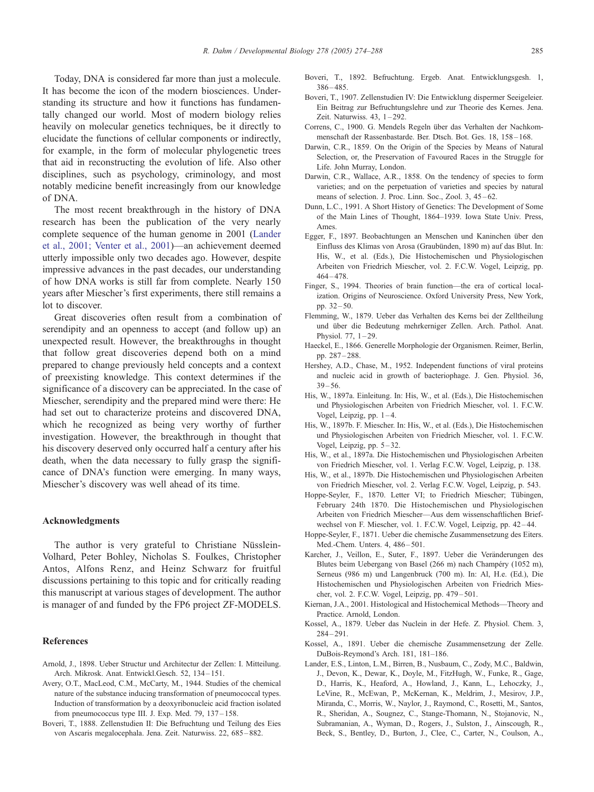<span id="page-11-0"></span>Today, DNA is considered far more than just a molecule. It has become the icon of the modern biosciences. Understanding its structure and how it functions has fundamentally changed our world. Most of modern biology relies heavily on molecular genetics techniques, be it directly to elucidate the functions of cellular components or indirectly, for example, in the form of molecular phylogenetic trees that aid in reconstructing the evolution of life. Also other disciplines, such as psychology, criminology, and most notably medicine benefit increasingly from our knowledge of DNA.

The most recent breakthrough in the history of DNA research has been the publication of the very nearly complete sequence of the human genome in 2001 (Lander et al., 2001; Venter et al., 2001)—an achievement deemed utterly impossible only two decades ago. However, despite impressive advances in the past decades, our understanding of how DNA works is still far from complete. Nearly 150 years after Miescher's first experiments, there still remains a lot to discover.

Great discoveries often result from a combination of serendipity and an openness to accept (and follow up) an unexpected result. However, the breakthroughs in thought that follow great discoveries depend both on a mind prepared to change previously held concepts and a context of preexisting knowledge. This context determines if the significance of a discovery can be appreciated. In the case of Miescher, serendipity and the prepared mind were there: He had set out to characterize proteins and discovered DNA, which he recognized as being very worthy of further investigation. However, the breakthrough in thought that his discovery deserved only occurred half a century after his death, when the data necessary to fully grasp the significance of DNA's function were emerging. In many ways, Miescher's discovery was well ahead of its time.

## Acknowledgments

The author is very grateful to Christiane Nüsslein-Volhard, Peter Bohley, Nicholas S. Foulkes, Christopher Antos, Alfons Renz, and Heinz Schwarz for fruitful discussions pertaining to this topic and for critically reading this manuscript at various stages of development. The author is manager of and funded by the FP6 project ZF-MODELS.

#### References

- Arnold, J., 1898. Ueber Structur und Architectur der Zellen: I. Mitteilung. Arch. Mikrosk. Anat. Entwickl.Gesch. 52, 134-151.
- Avery, O.T., MacLeod, C.M., McCarty, M., 1944. Studies of the chemical nature of the substance inducing transformation of pneumococcal types. Induction of transformation by a deoxyribonucleic acid fraction isolated from pneumococcus type III. J. Exp. Med. 79, 137-158.
- Boveri, T., 1888. Zellenstudien II: Die Befruchtung und Teilung des Eies von Ascaris megalocephala. Jena. Zeit. Naturwiss. 22, 685 – 882.
- Boveri, T., 1892. Befruchtung. Ergeb. Anat. Entwicklungsgesh. 1, 386 – 485.
- Boveri, T., 1907. Zellenstudien IV: Die Entwicklung dispermer Seeigeleier. Ein Beitrag zur Befruchtungslehre und zur Theorie des Kernes. Jena. Zeit. Naturwiss. 43, 1-292.
- Correns, C., 1900. G. Mendels Regeln über das Verhalten der Nachkommenschaft der Rassenbastarde. Ber. Dtsch. Bot. Ges. 18, 158 – 168.
- Darwin, C.R., 1859. On the Origin of the Species by Means of Natural Selection, or, the Preservation of Favoured Races in the Struggle for Life. John Murray, London.
- Darwin, C.R., Wallace, A.R., 1858. On the tendency of species to form varieties; and on the perpetuation of varieties and species by natural means of selection. J. Proc. Linn. Soc., Zool. 3, 45-62.
- Dunn, L.C., 1991. A Short History of Genetics: The Development of Some of the Main Lines of Thought, 1864–1939. Iowa State Univ. Press, Ames.
- Egger, F., 1897. Beobachtungen an Menschen und Kaninchen über den Einfluss des Klimas von Arosa (Graubünden, 1890 m) auf das Blut. In: His, W., et al. (Eds.), Die Histochemischen und Physiologischen Arbeiten von Friedrich Miescher, vol. 2. F.C.W. Vogel, Leipzig, pp.  $464 - 478.$
- Finger, S., 1994. Theories of brain function—the era of cortical localization. Origins of Neuroscience. Oxford University Press, New York, pp. 32 – 50.
- Flemming, W., 1879. Ueber das Verhalten des Kerns bei der Zelltheilung und über die Bedeutung mehrkerniger Zellen. Arch. Pathol. Anat. Physiol.  $77, 1 - 29$ .
- Haeckel, E., 1866. Generelle Morphologie der Organismen. Reimer, Berlin, pp. 287 – 288.
- Hershey, A.D., Chase, M., 1952. Independent functions of viral proteins and nucleic acid in growth of bacteriophage. J. Gen. Physiol. 36,  $39 - 56$
- His, W., 1897a. Einleitung. In: His, W., et al. (Eds.), Die Histochemischen und Physiologischen Arbeiten von Friedrich Miescher, vol. 1. F.C.W. Vogel, Leipzig, pp.  $1-4$ .
- His, W., 1897b. F. Miescher. In: His, W., et al. (Eds.), Die Histochemischen und Physiologischen Arbeiten von Friedrich Miescher, vol. 1. F.C.W. Vogel, Leipzig, pp. 5 – 32.
- His, W., et al., 1897a. Die Histochemischen und Physiologischen Arbeiten von Friedrich Miescher, vol. 1. Verlag F.C.W. Vogel, Leipzig, p. 138.
- His, W., et al., 1897b. Die Histochemischen und Physiologischen Arbeiten von Friedrich Miescher, vol. 2. Verlag F.C.W. Vogel, Leipzig, p. 543.
- Hoppe-Seyler, F., 1870. Letter VI; to Friedrich Miescher; Tübingen, February 24th 1870. Die Histochemischen und Physiologischen Arbeiten von Friedrich Miescher—Aus dem wissenschaftlichen Briefwechsel von F. Miescher, vol. 1. F.C.W. Vogel, Leipzig, pp. 42 – 44.
- Hoppe-Seyler, F., 1871. Ueber die chemische Zusammensetzung des Eiters. Med.-Chem. Unters. 4, 486-501.
- Karcher, J., Veillon, E., Suter, F., 1897. Ueber die Veränderungen des Blutes beim Uebergang von Basel (266 m) nach Champéry (1052 m), Serneus (986 m) und Langenbruck (700 m). In: Al, H.e. (Ed.), Die Histochemischen und Physiologischen Arbeiten von Friedrich Miescher, vol. 2. F.C.W. Vogel, Leipzig, pp. 479-501.
- Kiernan, J.A., 2001. Histological and Histochemical Methods—Theory and Practice. Arnold, London.
- Kossel, A., 1879. Ueber das Nuclein in der Hefe. Z. Physiol. Chem. 3, 284 – 291.
- Kossel, A., 1891. Ueber die chemische Zusammensetzung der Zelle. DuBois-Reymond's Arch. 181, 181–186.
- Lander, E.S., Linton, L.M., Birren, B., Nusbaum, C., Zody, M.C., Baldwin, J., Devon, K., Dewar, K., Doyle, M., FitzHugh, W., Funke, R., Gage, D., Harris, K., Heaford, A., Howland, J., Kann, L., Lehoczky, J., LeVine, R., McEwan, P., McKernan, K., Meldrim, J., Mesirov, J.P., Miranda, C., Morris, W., Naylor, J., Raymond, C., Rosetti, M., Santos, R., Sheridan, A., Sougnez, C., Stange-Thomann, N., Stojanovic, N., Subramanian, A., Wyman, D., Rogers, J., Sulston, J., Ainscough, R., Beck, S., Bentley, D., Burton, J., Clee, C., Carter, N., Coulson, A.,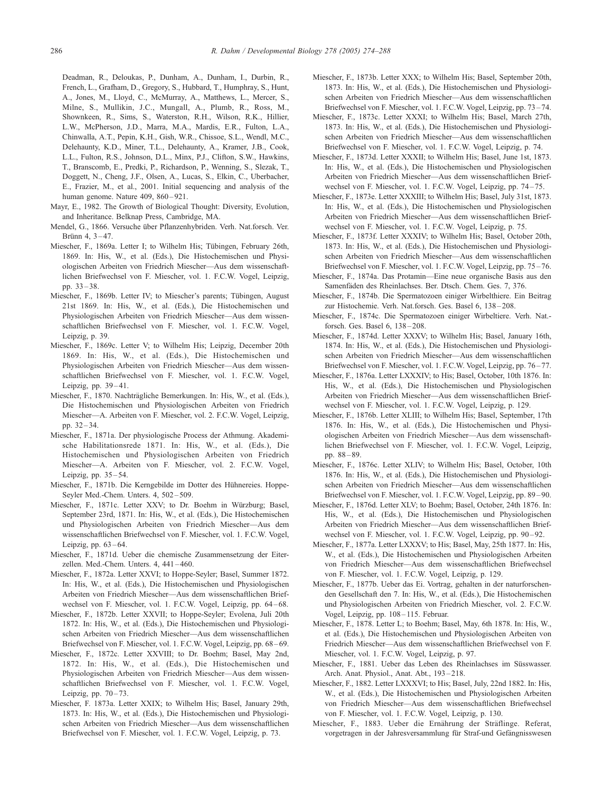<span id="page-12-0"></span>Deadman, R., Deloukas, P., Dunham, A., Dunham, I., Durbin, R., French, L., Grafham, D., Gregory, S., Hubbard, T., Humphray, S., Hunt, A., Jones, M., Lloyd, C., McMurray, A., Matthews, L., Mercer, S., Milne, S., Mullikin, J.C., Mungall, A., Plumb, R., Ross, M., Shownkeen, R., Sims, S., Waterston, R.H., Wilson, R.K., Hillier, L.W., McPherson, J.D., Marra, M.A., Mardis, E.R., Fulton, L.A., Chinwalla, A.T., Pepin, K.H., Gish, W.R., Chissoe, S.L., Wendl, M.C., Delehaunty, K.D., Miner, T.L., Delehaunty, A., Kramer, J.B., Cook, L.L., Fulton, R.S., Johnson, D.L., Minx, P.J., Clifton, S.W., Hawkins, T., Branscomb, E., Predki, P., Richardson, P., Wenning, S., Slezak, T., Doggett, N., Cheng, J.F., Olsen, A., Lucas, S., Elkin, C., Uberbacher, E., Frazier, M., et al., 2001. Initial sequencing and analysis of the human genome. Nature 409, 860-921.

- Mayr, E., 1982. The Growth of Biological Thought: Diversity, Evolution, and Inheritance. Belknap Press, Cambridge, MA.
- Mendel, G., 1866. Versuche über Pflanzenhybriden. Verh. Nat.forsch. Ver. Brünn 4,  $3 - 47$ .
- Miescher, F., 1869a. Letter I; to Wilhelm His; Tübingen, February 26th, 1869. In: His, W., et al. (Eds.), Die Histochemischen und Physiologischen Arbeiten von Friedrich Miescher—Aus dem wissenschaftlichen Briefwechsel von F. Miescher, vol. 1. F.C.W. Vogel, Leipzig, pp. 33 – 38.
- Miescher, F., 1869b. Letter IV: to Miescher's parents: Tübingen, August 21st 1869. In: His, W., et al. (Eds.), Die Histochemischen und Physiologischen Arbeiten von Friedrich Miescher—Aus dem wissenschaftlichen Briefwechsel von F. Miescher, vol. 1. F.C.W. Vogel, Leipzig, p. 39.
- Miescher, F., 1869c. Letter V; to Wilhelm His; Leipzig, December 20th 1869. In: His, W., et al. (Eds.), Die Histochemischen und Physiologischen Arbeiten von Friedrich Miescher—Aus dem wissenschaftlichen Briefwechsel von F. Miescher, vol. 1. F.C.W. Vogel, Leipzig, pp. 39-41.
- Miescher, F., 1870. Nachträgliche Bemerkungen. In: His, W., et al. (Eds.), Die Histochemischen und Physiologischen Arbeiten von Friedrich Miescher—A. Arbeiten von F. Miescher, vol. 2. F.C.W. Vogel, Leipzig, pp. 32 – 34.
- Miescher, F., 1871a. Der physiologische Process der Athmung. Akademische Habilitationsrede 1871. In: His, W., et al. (Eds.), Die Histochemischen und Physiologischen Arbeiten von Friedrich Miescher—A. Arbeiten von F. Miescher, vol. 2. F.C.W. Vogel, Leipzig, pp. 35 – 54.
- Miescher, F., 1871b. Die Kerngebilde im Dotter des Hühnereies. Hoppe-Seyler Med.-Chem. Unters. 4, 502-509.
- Miescher, F., 1871c. Letter XXV; to Dr. Boehm in Würzburg; Basel, September 23rd, 1871. In: His, W., et al. (Eds.), Die Histochemischen und Physiologischen Arbeiten von Friedrich Miescher—Aus dem wissenschaftlichen Briefwechsel von F. Miescher, vol. 1. F.C.W. Vogel, Leipzig, pp.  $63 - 64$ .
- Miescher, F., 1871d. Ueber die chemische Zusammensetzung der Eiterzellen. Med.-Chem. Unters. 4, 441 – 460.
- Miescher, F., 1872a. Letter XXVI; to Hoppe-Seyler; Basel, Summer 1872. In: His, W., et al. (Eds.), Die Histochemischen und Physiologischen Arbeiten von Friedrich Miescher—Aus dem wissenschaftlichen Briefwechsel von F. Miescher, vol. 1. F.C.W. Vogel, Leipzig, pp. 64–68.
- Miescher, F., 1872b. Letter XXVII; to Hoppe-Seyler; Evolena, Juli 20th 1872. In: His, W., et al. (Eds.), Die Histochemischen und Physiologischen Arbeiten von Friedrich Miescher—Aus dem wissenschaftlichen Briefwechsel von F. Miescher, vol. 1. F.C.W. Vogel, Leipzig, pp. 68 – 69.
- Miescher, F., 1872c. Letter XXVIII; to Dr. Boehm; Basel, May 2nd, 1872. In: His, W., et al. (Eds.), Die Histochemischen und Physiologischen Arbeiten von Friedrich Miescher—Aus dem wissenschaftlichen Briefwechsel von F. Miescher, vol. 1. F.C.W. Vogel, Leipzig, pp. 70-73.
- Miescher, F. 1873a. Letter XXIX; to Wilhelm His; Basel, January 29th, 1873. In: His, W., et al. (Eds.), Die Histochemischen und Physiologischen Arbeiten von Friedrich Miescher—Aus dem wissenschaftlichen Briefwechsel von F. Miescher, vol. 1. F.C.W. Vogel, Leipzig, p. 73.
- Miescher, F., 1873b. Letter XXX; to Wilhelm His; Basel, September 20th, 1873. In: His, W., et al. (Eds.), Die Histochemischen und Physiologischen Arbeiten von Friedrich Miescher—Aus dem wissenschaftlichen Briefwechsel von F. Miescher, vol. 1. F.C.W. Vogel, Leipzig, pp. 73 – 74.
- Miescher, F., 1873c. Letter XXXI; to Wilhelm His; Basel, March 27th, 1873. In: His, W., et al. (Eds.), Die Histochemischen und Physiologischen Arbeiten von Friedrich Miescher—Aus dem wissenschaftlichen Briefwechsel von F. Miescher, vol. 1. F.C.W. Vogel, Leipzig, p. 74.
- Miescher, F., 1873d. Letter XXXII; to Wilhelm His; Basel, June 1st, 1873. In: His, W., et al. (Eds.), Die Histochemischen und Physiologischen Arbeiten von Friedrich Miescher—Aus dem wissenschaftlichen Briefwechsel von F. Miescher, vol. 1. F.C.W. Vogel, Leipzig, pp. 74-75.
- Miescher, F., 1873e. Letter XXXIII; to Wilhelm His; Basel, July 31st, 1873. In: His, W., et al. (Eds.), Die Histochemischen und Physiologischen Arbeiten von Friedrich Miescher—Aus dem wissenschaftlichen Briefwechsel von F. Miescher, vol. 1. F.C.W. Vogel, Leipzig, p. 75.
- Miescher, F., 1873f. Letter XXXIV; to Wilhelm His; Basel, October 20th, 1873. In: His, W., et al. (Eds.), Die Histochemischen und Physiologischen Arbeiten von Friedrich Miescher—Aus dem wissenschaftlichen Briefwechsel von F. Miescher, vol. 1. F.C.W. Vogel, Leipzig, pp. 75 – 76.
- Miescher, F., 1874a. Das Protamin—Eine neue organische Basis aus den Samenfäden des Rheinlachses. Ber. Dtsch. Chem. Ges. 7, 376.
- Miescher, F., 1874b. Die Spermatozoen einiger Wirbelthiere. Ein Beitrag zur Histochemie. Verh. Nat.forsch. Ges. Basel 6, 138 – 208.
- Miescher, F., 1874c. Die Spermatozoen einiger Wirbeltiere. Verh. Nat. forsch. Ges. Basel 6, 138 – 208.
- Miescher, F., 1874d. Letter XXXV; to Wilhelm His; Basel, January 16th, 1874. In: His, W., et al. (Eds.), Die Histochemischen und Physiologischen Arbeiten von Friedrich Miescher—Aus dem wissenschaftlichen Briefwechsel von F. Miescher, vol. 1. F.C.W. Vogel, Leipzig, pp. 76 – 77.
- Miescher, F., 1876a. Letter LXXXIV; to His; Basel, October, 10th 1876. In: His, W., et al. (Eds.), Die Histochemischen und Physiologischen Arbeiten von Friedrich Miescher—Aus dem wissenschaftlichen Briefwechsel von F. Miescher, vol. 1. F.C.W. Vogel, Leipzig, p. 129.
- Miescher, F., 1876b. Letter XLIII; to Wilhelm His; Basel, September, 17th 1876. In: His, W., et al. (Eds.), Die Histochemischen und Physiologischen Arbeiten von Friedrich Miescher—Aus dem wissenschaftlichen Briefwechsel von F. Miescher, vol. 1. F.C.W. Vogel, Leipzig, pp. 88 – 89.
- Miescher, F., 1876c. Letter XLIV; to Wilhelm His; Basel, October, 10th 1876. In: His, W., et al. (Eds.), Die Histochemischen und Physiologischen Arbeiten von Friedrich Miescher—Aus dem wissenschaftlichen Briefwechsel von F. Miescher, vol. 1. F.C.W. Vogel, Leipzig, pp. 89 – 90.
- Miescher, F., 1876d. Letter XLV; to Boehm; Basel, October, 24th 1876. In: His, W., et al. (Eds.), Die Histochemischen und Physiologischen Arbeiten von Friedrich Miescher—Aus dem wissenschaftlichen Briefwechsel von F. Miescher, vol. 1. F.C.W. Vogel, Leipzig, pp. 90-92.
- Miescher, F., 1877a. Letter LXXXV; to His; Basel, May, 25th 1877. In: His, W., et al. (Eds.), Die Histochemischen und Physiologischen Arbeiten von Friedrich Miescher—Aus dem wissenschaftlichen Briefwechsel von F. Miescher, vol. 1. F.C.W. Vogel, Leipzig, p. 129.
- Miescher, F., 1877b. Ueber das Ei. Vortrag, gehalten in der naturforschenden Gesellschaft den 7. In: His, W., et al. (Eds.), Die Histochemischen und Physiologischen Arbeiten von Friedrich Miescher, vol. 2. F.C.W. Vogel, Leipzig, pp. 108 – 115. Februar.
- Miescher, F., 1878. Letter L; to Boehm; Basel, May, 6th 1878. In: His, W., et al. (Eds.), Die Histochemischen und Physiologischen Arbeiten von Friedrich Miescher—Aus dem wissenschaftlichen Briefwechsel von F. Miescher, vol. 1. F.C.W. Vogel, Leipzig, p. 97.
- Miescher, F., 1881. Ueber das Leben des Rheinlachses im Süsswasser. Arch. Anat. Physiol., Anat. Abt., 193-218.
- Miescher, F., 1882. Letter LXXXVI; to His; Basel, July, 22nd 1882. In: His, W., et al. (Eds.), Die Histochemischen und Physiologischen Arbeiten von Friedrich Miescher—Aus dem wissenschaftlichen Briefwechsel von F. Miescher, vol. 1. F.C.W. Vogel, Leipzig, p. 130.
- Miescher, F., 1883. Ueber die Ernährung der Sträflinge. Referat, vorgetragen in der Jahresversammlung für Straf-und Gefängnisswesen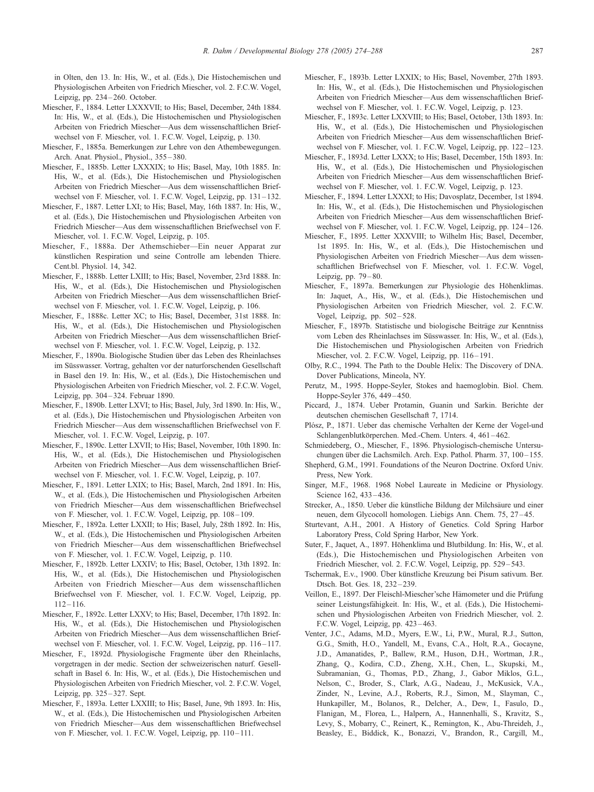<span id="page-13-0"></span>in Olten, den 13. In: His, W., et al. (Eds.), Die Histochemischen und Physiologischen Arbeiten von Friedrich Miescher, vol. 2. F.C.W. Vogel, Leipzig, pp. 234 – 260. October.

- Miescher, F., 1884. Letter LXXXVII; to His; Basel, December, 24th 1884. In: His, W., et al. (Eds.), Die Histochemischen und Physiologischen Arbeiten von Friedrich Miescher—Aus dem wissenschaftlichen Briefwechsel von F. Miescher, vol. 1. F.C.W. Vogel, Leipzig, p. 130.
- Miescher, F., 1885a. Bemerkungen zur Lehre von den Athembewegungen. Arch. Anat. Physiol., Physiol., 355-380.
- Miescher, F., 1885b. Letter LXXXIX; to His; Basel, May, 10th 1885. In: His, W., et al. (Eds.), Die Histochemischen und Physiologischen Arbeiten von Friedrich Miescher—Aus dem wissenschaftlichen Briefwechsel von F. Miescher, vol. 1. F.C.W. Vogel, Leipzig, pp. 131 – 132.
- Miescher, F., 1887. Letter LXI; to His; Basel, May, 16th 1887. In: His, W., et al. (Eds.), Die Histochemischen und Physiologischen Arbeiten von Friedrich Miescher—Aus dem wissenschaftlichen Briefwechsel von F. Miescher, vol. 1. F.C.W. Vogel, Leipzig, p. 105.
- Miescher, F., 1888a. Der Athemschieber—Ein neuer Apparat zur künstlichen Respiration und seine Controlle am lebenden Thiere. Cent.bl. Physiol. 14, 342.
- Miescher, F., 1888b. Letter LXIII; to His; Basel, November, 23rd 1888. In: His, W., et al. (Eds.), Die Histochemischen und Physiologischen Arbeiten von Friedrich Miescher—Aus dem wissenschaftlichen Briefwechsel von F. Miescher, vol. 1. F.C.W. Vogel, Leipzig, p. 106.
- Miescher, F., 1888c. Letter XC; to His; Basel, December, 31st 1888. In: His, W., et al. (Eds.), Die Histochemischen und Physiologischen Arbeiten von Friedrich Miescher—Aus dem wissenschaftlichen Briefwechsel von F. Miescher, vol. 1. F.C.W. Vogel, Leipzig, p. 132.
- Miescher, F., 1890a. Biologische Studien über das Leben des Rheinlachses im Süsswasser. Vortrag, gehalten vor der naturforschenden Gesellschaft in Basel den 19. In: His, W., et al. (Eds.), Die Histochemischen und Physiologischen Arbeiten von Friedrich Miescher, vol. 2. F.C.W. Vogel, Leipzig, pp. 304 – 324. Februar 1890.
- Miescher, F., 1890b. Letter LXVI; to His; Basel, July, 3rd 1890. In: His, W., et al. (Eds.), Die Histochemischen und Physiologischen Arbeiten von Friedrich Miescher—Aus dem wissenschaftlichen Briefwechsel von F. Miescher, vol. 1. F.C.W. Vogel, Leipzig, p. 107.
- Miescher, F., 1890c. Letter LXVII; to His; Basel, November, 10th 1890. In: His, W., et al. (Eds.), Die Histochemischen und Physiologischen Arbeiten von Friedrich Miescher—Aus dem wissenschaftlichen Briefwechsel von F. Miescher, vol. 1. F.C.W. Vogel, Leipzig, p. 107.
- Miescher, F., 1891. Letter LXIX; to His; Basel, March, 2nd 1891. In: His, W., et al. (Eds.), Die Histochemischen und Physiologischen Arbeiten von Friedrich Miescher—Aus dem wissenschaftlichen Briefwechsel von F. Miescher, vol. 1. F.C.W. Vogel, Leipzig, pp. 108-109.
- Miescher, F., 1892a. Letter LXXII; to His; Basel, July, 28th 1892. In: His, W., et al. (Eds.), Die Histochemischen und Physiologischen Arbeiten von Friedrich Miescher—Aus dem wissenschaftlichen Briefwechsel von F. Miescher, vol. 1. F.C.W. Vogel, Leipzig, p. 110.
- Miescher, F., 1892b. Letter LXXIV; to His; Basel, October, 13th 1892. In: His, W., et al. (Eds.), Die Histochemischen und Physiologischen Arbeiten von Friedrich Miescher—Aus dem wissenschaftlichen Briefwechsel von F. Miescher, vol. 1. F.C.W. Vogel, Leipzig, pp.  $112 - 116$
- Miescher, F., 1892c. Letter LXXV; to His; Basel, December, 17th 1892. In: His, W., et al. (Eds.), Die Histochemischen und Physiologischen Arbeiten von Friedrich Miescher—Aus dem wissenschaftlichen Briefwechsel von F. Miescher, vol. 1. F.C.W. Vogel, Leipzig, pp. 116–117.
- Miescher, F., 1892d. Physiologische Fragmente über den Rheinlachs, vorgetragen in der medic. Section der schweizerischen naturf. Gesellschaft in Basel 6. In: His, W., et al. (Eds.), Die Histochemischen und Physiologischen Arbeiten von Friedrich Miescher, vol. 2. F.C.W. Vogel, Leipzig, pp. 325 – 327. Sept.
- Miescher, F., 1893a. Letter LXXIII; to His; Basel, June, 9th 1893. In: His, W., et al. (Eds.), Die Histochemischen und Physiologischen Arbeiten von Friedrich Miescher—Aus dem wissenschaftlichen Briefwechsel von F. Miescher, vol. 1. F.C.W. Vogel, Leipzig, pp. 110-111.
- Miescher, F., 1893b. Letter LXXIX; to His; Basel, November, 27th 1893. In: His, W., et al. (Eds.), Die Histochemischen und Physiologischen Arbeiten von Friedrich Miescher—Aus dem wissenschaftlichen Briefwechsel von F. Miescher, vol. 1. F.C.W. Vogel, Leipzig, p. 123.
- Miescher, F., 1893c. Letter LXXVIII; to His; Basel, October, 13th 1893. In: His, W., et al. (Eds.), Die Histochemischen und Physiologischen Arbeiten von Friedrich Miescher—Aus dem wissenschaftlichen Briefwechsel von F. Miescher, vol. 1. F.C.W. Vogel, Leipzig, pp. 122-123.
- Miescher, F., 1893d. Letter LXXX; to His; Basel, December, 15th 1893. In: His, W., et al. (Eds.), Die Histochemischen und Physiologischen Arbeiten von Friedrich Miescher—Aus dem wissenschaftlichen Briefwechsel von F. Miescher, vol. 1. F.C.W. Vogel, Leipzig, p. 123.
- Miescher, F., 1894. Letter LXXXI; to His; Davosplatz, December, 1st 1894. In: His, W., et al. (Eds.), Die Histochemischen und Physiologischen Arbeiten von Friedrich Miescher—Aus dem wissenschaftlichen Briefwechsel von F. Miescher, vol. 1. F.C.W. Vogel, Leipzig, pp. 124 – 126.
- Miescher, F., 1895. Letter XXXVIII; to Wilhelm His; Basel, December, 1st 1895. In: His, W., et al. (Eds.), Die Histochemischen und Physiologischen Arbeiten von Friedrich Miescher—Aus dem wissenschaftlichen Briefwechsel von F. Miescher, vol. 1. F.C.W. Vogel, Leipzig, pp. 79-80.
- Miescher, F., 1897a. Bemerkungen zur Physiologie des Höhenklimas. In: Jaquet, A., His, W., et al. (Eds.), Die Histochemischen und Physiologischen Arbeiten von Friedrich Miescher, vol. 2. F.C.W. Vogel, Leipzig, pp. 502-528.
- Miescher, F., 1897b. Statistische und biologische Beiträge zur Kenntniss vom Leben des Rheinlachses im Süsswasser. In: His, W., et al. (Eds.), Die Histochemischen und Physiologischen Arbeiten von Friedrich Miescher, vol. 2. F.C.W. Vogel, Leipzig, pp. 116-191.
- Olby, R.C., 1994. The Path to the Double Helix: The Discovery of DNA. Dover Publications, Mineola, NY.
- Perutz, M., 1995. Hoppe-Seyler, Stokes and haemoglobin. Biol. Chem. Hoppe-Seyler 376, 449 – 450.
- Piccard, J., 1874. Ueber Protamin, Guanin und Sarkin. Berichte der deutschen chemischen Gesellschaft 7, 1714.
- Plósz, P., 1871. Ueber das chemische Verhalten der Kerne der Vogel-und Schlangenblutkörperchen. Med.-Chem. Unters. 4, 461–462.
- Schmiedeberg, O., Miescher, F., 1896. Physiologisch-chemische Untersuchungen über die Lachsmilch. Arch. Exp. Pathol. Pharm. 37, 100-155.
- Shepherd, G.M., 1991. Foundations of the Neuron Doctrine. Oxford Univ. Press, New York.
- Singer, M.F., 1968. 1968 Nobel Laureate in Medicine or Physiology. Science 162, 433-436.
- Strecker, A., 1850. Ueber die künstliche Bildung der Milchsäure und einer neuen, dem Glycocoll homologen. Liebigs Ann. Chem. 75, 27 – 45.
- Sturtevant, A.H., 2001. A History of Genetics. Cold Spring Harbor Laboratory Press, Cold Spring Harbor, New York.
- Suter, F., Jaquet, A., 1897. Höhenklima und Blutbildung. In: His, W., et al. (Eds.), Die Histochemischen und Physiologischen Arbeiten von Friedrich Miescher, vol. 2. F.C.W. Vogel, Leipzig, pp. 529 – 543.
- Tschermak, E.v., 1900. Über künstliche Kreuzung bei Pisum sativum. Ber. Dtsch. Bot. Ges. 18, 232-239.
- Veillon, E., 1897. Der Fleischl-Miescher'sche Hämometer und die Prüfung seiner Leistungsfähigkeit. In: His, W., et al. (Eds.), Die Histochemischen und Physiologischen Arbeiten von Friedrich Miescher, vol. 2. F.C.W. Vogel, Leipzig, pp. 423 – 463.
- Venter, J.C., Adams, M.D., Myers, E.W., Li, P.W., Mural, R.J., Sutton, G.G., Smith, H.O., Yandell, M., Evans, C.A., Holt, R.A., Gocayne, J.D., Amanatides, P., Ballew, R.M., Huson, D.H., Wortman, J.R., Zhang, Q., Kodira, C.D., Zheng, X.H., Chen, L., Skupski, M., Subramanian, G., Thomas, P.D., Zhang, J., Gabor Miklos, G.L., Nelson, C., Broder, S., Clark, A.G., Nadeau, J., McKusick, V.A., Zinder, N., Levine, A.J., Roberts, R.J., Simon, M., Slayman, C., Hunkapiller, M., Bolanos, R., Delcher, A., Dew, I., Fasulo, D., Flanigan, M., Florea, L., Halpern, A., Hannenhalli, S., Kravitz, S., Levy, S., Mobarry, C., Reinert, K., Remington, K., Abu-Threideh, J., Beasley, E., Biddick, K., Bonazzi, V., Brandon, R., Cargill, M.,